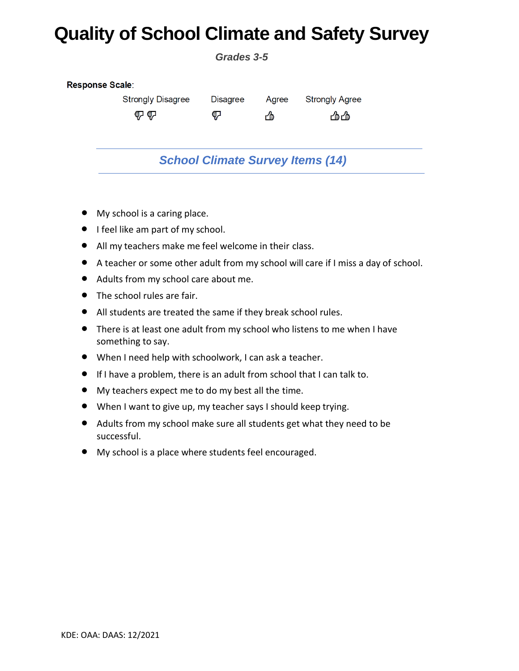## **Quality of School Climate and Safety Survey**

*Grades 3-5*

| Response Scale: |                          |                 |       |                       |  |  |  |  |
|-----------------|--------------------------|-----------------|-------|-----------------------|--|--|--|--|
|                 | <b>Strongly Disagree</b> | <b>Disagree</b> | Agree | <b>Strongly Agree</b> |  |  |  |  |
|                 | 心心                       | ₹               | y     | 凸凸                    |  |  |  |  |
|                 |                          |                 |       |                       |  |  |  |  |

## *School Climate Survey Items (14)*

- My school is a caring place.
- I feel like am part of my school.
- All my teachers make me feel welcome in their class.
- A teacher or some other adult from my school will care if I miss a day of school.
- Adults from my school care about me.
- The school rules are fair.
- All students are treated the same if they break school rules.
- There is at least one adult from my school who listens to me when I have something to say.
- When I need help with schoolwork, I can ask a teacher.
- If I have a problem, there is an adult from school that I can talk to.
- My teachers expect me to do my best all the time.
- When I want to give up, my teacher says I should keep trying.
- Adults from my school make sure all students get what they need to be successful.
- My school is a place where students feel encouraged.